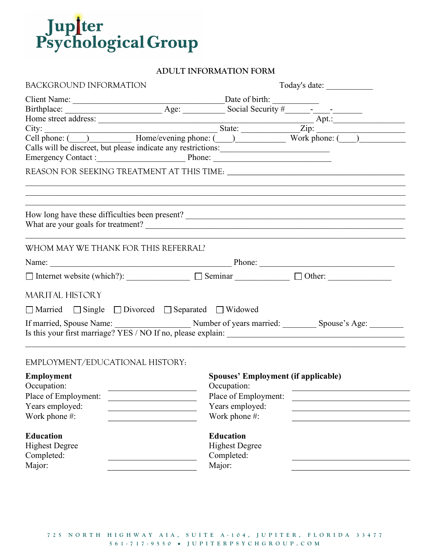

# ADULT INFORMATION FORM

| BACKGROUND INFORMATION                                                | Today's date:                                                                                                                                                                                                                  |
|-----------------------------------------------------------------------|--------------------------------------------------------------------------------------------------------------------------------------------------------------------------------------------------------------------------------|
|                                                                       |                                                                                                                                                                                                                                |
|                                                                       |                                                                                                                                                                                                                                |
|                                                                       |                                                                                                                                                                                                                                |
|                                                                       |                                                                                                                                                                                                                                |
|                                                                       |                                                                                                                                                                                                                                |
|                                                                       | Calls will be discreet, but please indicate any restrictions:                                                                                                                                                                  |
|                                                                       | Emergency Contact : Phone: Phone:                                                                                                                                                                                              |
|                                                                       | ,我们也不能在这里的时候,我们也不能在这里的时候,我们也不能会不能会不能会不能会不能会不能会不能会不能会不能会不能会。<br>第2012章 我们的时候,我们的时候,我们的时候,我们的时候,我们的时候,我们的时候,我们的时候,我们的时候,我们的时候,我们的时候,我们的时候,我们的时候,我                                                                                |
|                                                                       |                                                                                                                                                                                                                                |
| WHOM MAY WE THANK FOR THIS REFERRAL?                                  |                                                                                                                                                                                                                                |
|                                                                       | Name: Phone: Phone: Phone: Phone: Phone: Phone: Phone: Phone: Phone: Phone: Phone: Phone: Phone: Phone: Phone: Phone: Phone: Phone: Phone: Phone: Phone: Phone: Phone: Phone: Phone: Phone: Phone: Phone: Phone: Phone: Phone: |
|                                                                       | $\Box$ Internet website (which?): $\Box$ Seminar $\Box$ Other:                                                                                                                                                                 |
| <b>MARITAL HISTORY</b>                                                |                                                                                                                                                                                                                                |
| □ Married □ Single □ Divorced □ Separated □ Widowed                   |                                                                                                                                                                                                                                |
|                                                                       |                                                                                                                                                                                                                                |
| EMPLOYMENT/EDUCATIONAL HISTORY:                                       |                                                                                                                                                                                                                                |
| <b>Employment</b>                                                     | <b>Spouses' Employment (if applicable)</b>                                                                                                                                                                                     |
| Occupation:                                                           | Occupation:                                                                                                                                                                                                                    |
| <u> 1989 - Johann Stein, fransk politik (</u><br>Place of Employment: | Place of Employment:                                                                                                                                                                                                           |
| Years employed:                                                       | Years employed:                                                                                                                                                                                                                |
| Work phone #:                                                         | Work phone #:                                                                                                                                                                                                                  |
|                                                                       |                                                                                                                                                                                                                                |
| <b>Education</b>                                                      | <b>Education</b>                                                                                                                                                                                                               |
| <b>Highest Degree</b>                                                 | <b>Highest Degree</b>                                                                                                                                                                                                          |
| Completed:                                                            | Completed:                                                                                                                                                                                                                     |
| Major:                                                                | Major:                                                                                                                                                                                                                         |
|                                                                       |                                                                                                                                                                                                                                |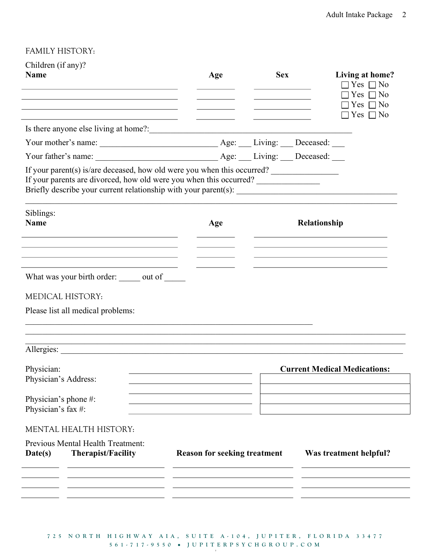# FAMILY HISTORY:

|                                                                                                                                                                                                                              |                                     | <b>Sex</b> |              | Living at home?                          |
|------------------------------------------------------------------------------------------------------------------------------------------------------------------------------------------------------------------------------|-------------------------------------|------------|--------------|------------------------------------------|
| <b>Name</b>                                                                                                                                                                                                                  | Age                                 |            |              | $\Box$ Yes $\Box$ No                     |
|                                                                                                                                                                                                                              |                                     |            |              | $\Box$ Yes $\Box$ No                     |
|                                                                                                                                                                                                                              |                                     |            |              | $\exists$ Yes $\Box$ No<br>Yes $\Box$ No |
|                                                                                                                                                                                                                              |                                     |            |              |                                          |
|                                                                                                                                                                                                                              |                                     |            |              |                                          |
|                                                                                                                                                                                                                              |                                     |            |              |                                          |
| If your parent(s) is/are deceased, how old were you when this occurred?<br>If your parents are divorced, how old were you when this occurred?                                                                                |                                     |            |              |                                          |
| Siblings:                                                                                                                                                                                                                    |                                     |            |              |                                          |
| <b>Name</b>                                                                                                                                                                                                                  | Age                                 |            | Relationship |                                          |
|                                                                                                                                                                                                                              |                                     |            |              |                                          |
|                                                                                                                                                                                                                              |                                     |            |              |                                          |
| What was your birth order: we out of what was your birth order:                                                                                                                                                              |                                     |            |              |                                          |
|                                                                                                                                                                                                                              |                                     |            |              |                                          |
| <b>MEDICAL HISTORY:</b>                                                                                                                                                                                                      |                                     |            |              |                                          |
|                                                                                                                                                                                                                              |                                     |            |              |                                          |
|                                                                                                                                                                                                                              |                                     |            |              |                                          |
|                                                                                                                                                                                                                              |                                     |            |              |                                          |
| <u> 1990 - 1990 - 1990 - 1990 - 1990 - 1990 - 1990 - 1990 - 1990 - 1990 - 1990 - 1990 - 1990 - 1990 - 1990 - 199</u>                                                                                                         |                                     |            |              |                                          |
|                                                                                                                                                                                                                              |                                     |            |              |                                          |
|                                                                                                                                                                                                                              |                                     |            |              | <b>Current Medical Medications:</b>      |
|                                                                                                                                                                                                                              |                                     |            |              |                                          |
|                                                                                                                                                                                                                              |                                     |            |              |                                          |
|                                                                                                                                                                                                                              |                                     |            |              |                                          |
|                                                                                                                                                                                                                              |                                     |            |              |                                          |
| Please list all medical problems:<br>Physician:<br>Physician's Address:<br>Physician's phone #:<br>Physician's fax #:<br>MENTAL HEALTH HISTORY:<br>Previous Mental Health Treatment:<br>Date(s)<br><b>Therapist/Facility</b> | <b>Reason for seeking treatment</b> |            |              | Was treatment helpful?                   |

7 2 5 N O R T H H I G H W A Y A I A, SUITE A - 104, JUPITER, FLORIDA 33477 5 6 1 - 7 1 7 - 9 5 5 0 J U P I T E R P S Y C H G R O U P . C O M 5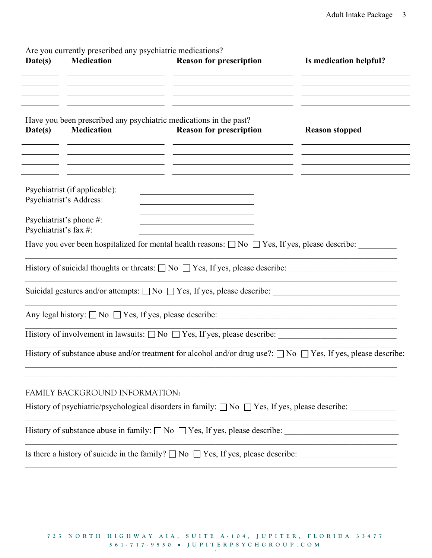Are you currently prescribed any psychiatric medications?

| Date(s)               | Are you currently preserved any psychiatric incurrations:<br><b>Medication</b>                                                         | <b>Reason for prescription</b><br><u> 1989 - Johann Barn, amerikansk politiker (</u>                                                                                                                                                                                            | Is medication helpful? |
|-----------------------|----------------------------------------------------------------------------------------------------------------------------------------|---------------------------------------------------------------------------------------------------------------------------------------------------------------------------------------------------------------------------------------------------------------------------------|------------------------|
| Date(s)               | Have you been prescribed any psychiatric medications in the past?<br><b>Medication</b>                                                 | <u> 1980 - Johann Barn, amerikansk politiker (d. 1980)</u><br><b>Reason for prescription</b>                                                                                                                                                                                    | <b>Reason stopped</b>  |
|                       | the control of the control of the control of the control of the control of<br>Psychiatrist (if applicable):<br>Psychiatrist's Address: | the control of the control of the control of the control of the control of the control of<br><u> 1980 - Johann Barn, amerikan besteman besteman besteman besteman besteman besteman besteman besteman bestema</u><br><u> 1989 - Johann Barn, amerikansk politiker (d. 1989)</u> |                        |
| Psychiatrist's fax #: | Psychiatrist's phone #:                                                                                                                | <u> 1989 - Johann Barn, mars ann an t-Amhain Aonaich an t-Aonaich an t-Aonaich ann an t-Aonaich ann an t-Aonaich</u>                                                                                                                                                            |                        |
|                       |                                                                                                                                        | Have you ever been hospitalized for mental health reasons: $\Box$ No $\Box$ Yes, If yes, please describe:                                                                                                                                                                       |                        |
|                       |                                                                                                                                        | History of suicidal thoughts or threats: $\Box$ No $\Box$ Yes, If yes, please describe:                                                                                                                                                                                         |                        |
|                       |                                                                                                                                        | Suicidal gestures and/or attempts: □ No □ Yes, If yes, please describe: ___________________________                                                                                                                                                                             |                        |
|                       |                                                                                                                                        |                                                                                                                                                                                                                                                                                 |                        |
|                       |                                                                                                                                        | History of involvement in lawsuits: $\Box$ No $\Box$ Yes, If yes, please describe:                                                                                                                                                                                              |                        |
|                       |                                                                                                                                        | History of substance abuse and/or treatment for alcohol and/or drug use?: $\Box$ No $\Box$ Yes, If yes, please describe:                                                                                                                                                        |                        |
|                       | FAMILY BACKGROUND INFORMATION:                                                                                                         |                                                                                                                                                                                                                                                                                 |                        |
|                       |                                                                                                                                        | History of psychiatric/psychological disorders in family: $\square$ No $\square$ Yes, If yes, please describe:                                                                                                                                                                  |                        |
|                       |                                                                                                                                        |                                                                                                                                                                                                                                                                                 |                        |
|                       |                                                                                                                                        |                                                                                                                                                                                                                                                                                 |                        |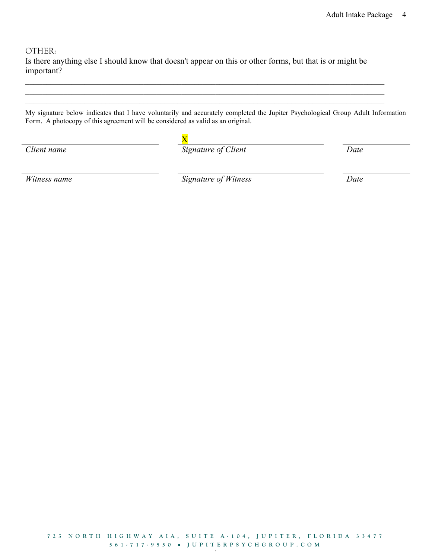OTHER:

Is there anything else I should know that doesn't appear on this or other forms, but that is or might be important?

My signature below indicates that I have voluntarily and accurately completed the Jupiter Psychological Group Adult Information Form. A photocopy of this agreement will be considered as valid as an original.

| Client name | Signature of Client | Date |
|-------------|---------------------|------|
|             |                     |      |

Witness name Signature of Witness Date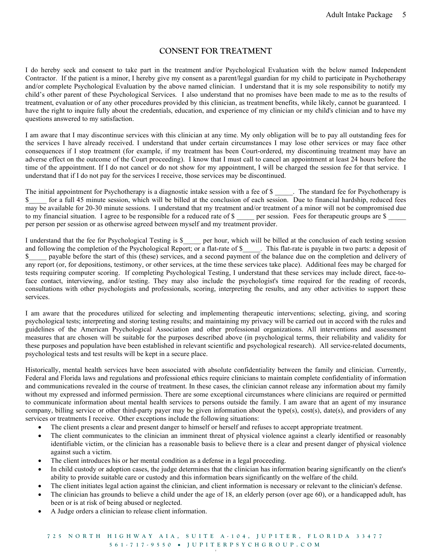### CONSENT FOR TREATMENT

I do hereby seek and consent to take part in the treatment and/or Psychological Evaluation with the below named Independent Contractor. If the patient is a minor, I hereby give my consent as a parent/legal guardian for my child to participate in Psychotherapy and/or complete Psychological Evaluation by the above named clinician. I understand that it is my sole responsibility to notify my child's other parent of these Psychological Services. I also understand that no promises have been made to me as to the results of treatment, evaluation or of any other procedures provided by this clinician, as treatment benefits, while likely, cannot be guaranteed. I have the right to inquire fully about the credentials, education, and experience of my clinician or my child's clinician and to have my questions answered to my satisfaction.

I am aware that I may discontinue services with this clinician at any time. My only obligation will be to pay all outstanding fees for the services I have already received. I understand that under certain circumstances I may lose other services or may face other consequences if I stop treatment (for example, if my treatment has been Court-ordered, my discontinuing treatment may have an adverse effect on the outcome of the Court proceeding). I know that I must call to cancel an appointment at least 24 hours before the time of the appointment. If I do not cancel or do not show for my appointment, I will be charged the session fee for that service. I understand that if I do not pay for the services I receive, those services may be discontinued.

The initial appointment for Psychotherapy is a diagnostic intake session with a fee of \$ The standard fee for Psychotherapy is \$ for a full 45 minute session, which will be billed at the conclusion of each session. Due to financial hardship, reduced fees may be available for 20-30 minute sessions. I understand that my treatment and/or treatment of a minor will not be compromised due to my financial situation. I agree to be responsible for a reduced rate of \$ \_\_\_\_\_ per session. Fees for therapeutic groups are \$ per person per session or as otherwise agreed between myself and my treatment provider.

I understand that the fee for Psychological Testing is \$\_\_\_\_\_ per hour, which will be billed at the conclusion of each testing session and following the completion of the Psychological Report; or a flat-rate of \$\_\_\_\_\_. This flat-rate is payable in two parts: a deposit of \$ payable before the start of this (these) services, and a second payment of the balance due on the completion and delivery of any report (or, for depositions, testimony, or other services, at the time these services take place). Additional fees may be charged for tests requiring computer scoring. If completing Psychological Testing, I understand that these services may include direct, face-toface contact, interviewing, and/or testing. They may also include the psychologist's time required for the reading of records, consultations with other psychologists and professionals, scoring, interpreting the results, and any other activities to support these services.

I am aware that the procedures utilized for selecting and implementing therapeutic interventions; selecting, giving, and scoring psychological tests; interpreting and storing testing results; and maintaining my privacy will be carried out in accord with the rules and guidelines of the American Psychological Association and other professional organizations. All interventions and assessment measures that are chosen will be suitable for the purposes described above (in psychological terms, their reliability and validity for these purposes and population have been established in relevant scientific and psychological research). All service-related documents, psychological tests and test results will be kept in a secure place.

Historically, mental health services have been associated with absolute confidentiality between the family and clinician. Currently, Federal and Florida laws and regulations and professional ethics require clinicians to maintain complete confidentiality of information and communications revealed in the course of treatment. In these cases, the clinician cannot release any information about my family without my expressed and informed permission. There are some exceptional circumstances where clinicians are required or permitted to communicate information about mental health services to persons outside the family. I am aware that an agent of my insurance company, billing service or other third-party payer may be given information about the type(s), cost(s), date(s), and providers of any services or treatments I receive. Other exceptions include the following situations:

- The client presents a clear and present danger to himself or herself and refuses to accept appropriate treatment.
- The client communicates to the clinician an imminent threat of physical violence against a clearly identified or reasonably identifiable victim, or the clinician has a reasonable basis to believe there is a clear and present danger of physical violence against such a victim.
- The client introduces his or her mental condition as a defense in a legal proceeding.
- In child custody or adoption cases, the judge determines that the clinician has information bearing significantly on the client's ability to provide suitable care or custody and this information bears significantly on the welfare of the child.
- The client initiates legal action against the clinician, and client information is necessary or relevant to the clinician's defense.
- The clinician has grounds to believe a child under the age of 18, an elderly person (over age 60), or a handicapped adult, has been or is at risk of being abused or neglected.
- A Judge orders a clinician to release client information.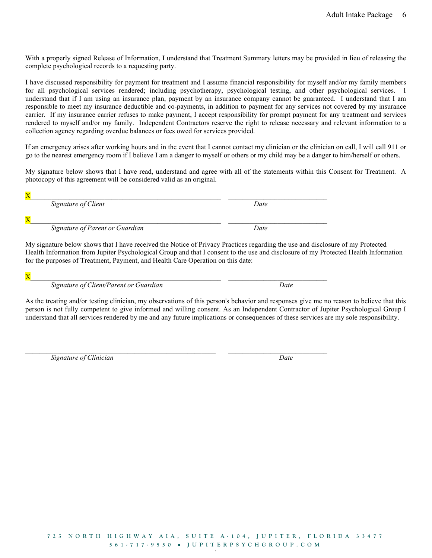With a properly signed Release of Information, I understand that Treatment Summary letters may be provided in lieu of releasing the complete psychological records to a requesting party.

I have discussed responsibility for payment for treatment and I assume financial responsibility for myself and/or my family members for all psychological services rendered; including psychotherapy, psychological testing, and other psychological services. I understand that if I am using an insurance plan, payment by an insurance company cannot be guaranteed. I understand that I am responsible to meet my insurance deductible and co-payments, in addition to payment for any services not covered by my insurance carrier. If my insurance carrier refuses to make payment, I accept responsibility for prompt payment for any treatment and services rendered to myself and/or my family. Independent Contractors reserve the right to release necessary and relevant information to a collection agency regarding overdue balances or fees owed for services provided.

If an emergency arises after working hours and in the event that I cannot contact my clinician or the clinician on call, I will call 911 or go to the nearest emergency room if I believe I am a danger to myself or others or my child may be a danger to him/herself or others.

My signature below shows that I have read, understand and agree with all of the statements within this Consent for Treatment. A photocopy of this agreement will be considered valid as an original.

 $X$ Signature of Client Date  $X$ Signature of Parent or Guardian Date

 $\mathcal{L}_\mathcal{L} = \mathcal{L}_\mathcal{L} = \mathcal{L}_\mathcal{L} = \mathcal{L}_\mathcal{L} = \mathcal{L}_\mathcal{L} = \mathcal{L}_\mathcal{L} = \mathcal{L}_\mathcal{L} = \mathcal{L}_\mathcal{L} = \mathcal{L}_\mathcal{L} = \mathcal{L}_\mathcal{L} = \mathcal{L}_\mathcal{L} = \mathcal{L}_\mathcal{L} = \mathcal{L}_\mathcal{L} = \mathcal{L}_\mathcal{L} = \mathcal{L}_\mathcal{L} = \mathcal{L}_\mathcal{L} = \mathcal{L}_\mathcal{L}$ 

My signature below shows that I have received the Notice of Privacy Practices regarding the use and disclosure of my Protected Health Information from Jupiter Psychological Group and that I consent to the use and disclosure of my Protected Health Information for the purposes of Treatment, Payment, and Health Care Operation on this date:

 ${\bf X}$ 

Signature of Client/Parent or Guardian Date

As the treating and/or testing clinician, my observations of this person's behavior and responses give me no reason to believe that this person is not fully competent to give informed and willing consent. As an Independent Contractor of Jupiter Psychological Group I understand that all services rendered by me and any future implications or consequences of these services are my sole responsibility.

Signature of Clinician Date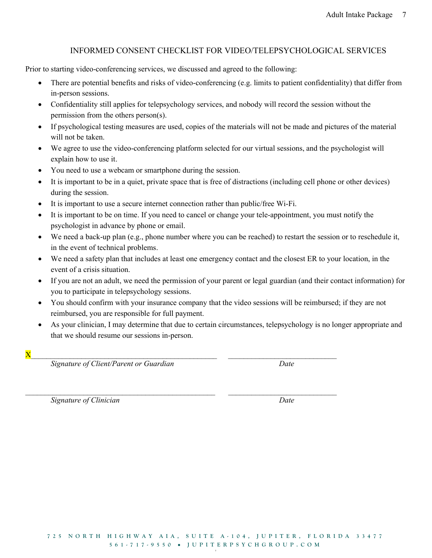## INFORMED CONSENT CHECKLIST FOR VIDEO/TELEPSYCHOLOGICAL SERVICES

Prior to starting video-conferencing services, we discussed and agreed to the following:

- There are potential benefits and risks of video-conferencing (e.g. limits to patient confidentiality) that differ from in-person sessions.
- Confidentiality still applies for telepsychology services, and nobody will record the session without the permission from the others person(s).
- If psychological testing measures are used, copies of the materials will not be made and pictures of the material will not be taken.
- We agree to use the video-conferencing platform selected for our virtual sessions, and the psychologist will explain how to use it.
- You need to use a webcam or smartphone during the session.
- It is important to be in a quiet, private space that is free of distractions (including cell phone or other devices) during the session.
- It is important to use a secure internet connection rather than public/free Wi-Fi.
- It is important to be on time. If you need to cancel or change your tele-appointment, you must notify the psychologist in advance by phone or email.
- We need a back-up plan (e.g., phone number where you can be reached) to restart the session or to reschedule it, in the event of technical problems.
- We need a safety plan that includes at least one emergency contact and the closest ER to your location, in the event of a crisis situation.
- If you are not an adult, we need the permission of your parent or legal guardian (and their contact information) for you to participate in telepsychology sessions.
- You should confirm with your insurance company that the video sessions will be reimbursed; if they are not reimbursed, you are responsible for full payment.

 $\mathcal{L}_\mathcal{L} = \{ \mathcal{L}_\mathcal{L} = \{ \mathcal{L}_\mathcal{L} = \{ \mathcal{L}_\mathcal{L} = \{ \mathcal{L}_\mathcal{L} = \{ \mathcal{L}_\mathcal{L} = \{ \mathcal{L}_\mathcal{L} = \{ \mathcal{L}_\mathcal{L} = \{ \mathcal{L}_\mathcal{L} = \{ \mathcal{L}_\mathcal{L} = \{ \mathcal{L}_\mathcal{L} = \{ \mathcal{L}_\mathcal{L} = \{ \mathcal{L}_\mathcal{L} = \{ \mathcal{L}_\mathcal{L} = \{ \mathcal{L}_\mathcal{$ 

- As your clinician, I may determine that due to certain circumstances, telepsychology is no longer appropriate and that we should resume our sessions in-person.
- $X$

Signature of Client/Parent or Guardian discussed by Date

Signature of Clinician Date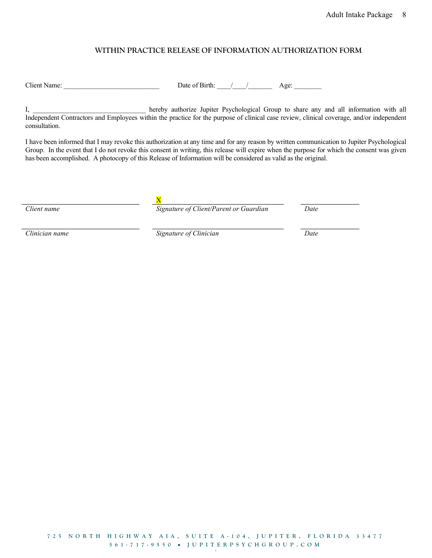#### WITHIN PRACTICE RELEASE OF INFORMATION AUTHORIZATION FORM

Client Name: \_\_\_\_\_\_\_\_\_\_\_\_\_\_\_\_\_\_\_\_\_\_\_\_\_\_\_\_ Date of Birth: \_\_\_\_/\_\_\_\_/\_\_\_\_\_\_\_ Age: \_\_\_\_\_\_\_\_

I, hereby authorize Jupiter Psychological Group to share any and all information with all Independent Contractors and Employees within the practice for the purpose of clinical case review, clinical coverage, and/or independent consultation.

I have been informed that I may revoke this authorization at any time and for any reason by written communication to Jupiter Psychological Group. In the event that I do not revoke this consent in writing, this release will expire when the purpose for which the consent was given has been accomplished. A photocopy of this Release of Information will be considered as valid as the original.

X

Client name The Signature of Client/Parent or Guardian Date

Clinician name Signature of Clinician Date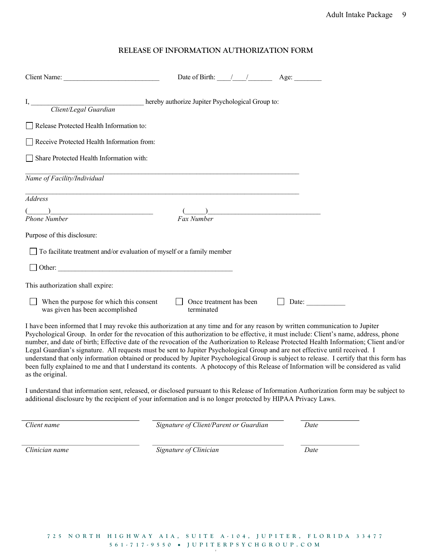#### RELEASE OF INFORMATION AUTHORIZATION FORM

|                                                                                                                                                                                                                                                                                          | Date of Birth: $\frac{1}{2}$          | Age: $\qquad$                                                                                                                                                                                                                        |  |
|------------------------------------------------------------------------------------------------------------------------------------------------------------------------------------------------------------------------------------------------------------------------------------------|---------------------------------------|--------------------------------------------------------------------------------------------------------------------------------------------------------------------------------------------------------------------------------------|--|
|                                                                                                                                                                                                                                                                                          |                                       |                                                                                                                                                                                                                                      |  |
| Release Protected Health Information to:                                                                                                                                                                                                                                                 |                                       |                                                                                                                                                                                                                                      |  |
| Receive Protected Health Information from:                                                                                                                                                                                                                                               |                                       |                                                                                                                                                                                                                                      |  |
| Share Protected Health Information with:                                                                                                                                                                                                                                                 |                                       |                                                                                                                                                                                                                                      |  |
| Name of Facility/Individual                                                                                                                                                                                                                                                              |                                       |                                                                                                                                                                                                                                      |  |
| ,我们也不能在这里的人,我们也不能在这里的人,我们也不能在这里的人,我们也不能在这里的人,我们也不能在这里的人,我们也不能在这里的人,我们也不能在这里的人,我们<br>Address                                                                                                                                                                                              |                                       |                                                                                                                                                                                                                                      |  |
| <b>Phone Number</b>                                                                                                                                                                                                                                                                      | <b>Fax Number</b>                     | <u> 1986 - Johann Stoff, deutscher Stoffen und der Stoffen und der Stoffen und der Stoffen und der Stoffen und der Stoffen und der Stoffen und der Stoffen und der Stoffen und der Stoffen und der Stoffen und der Stoffen und d</u> |  |
| Purpose of this disclosure:                                                                                                                                                                                                                                                              |                                       |                                                                                                                                                                                                                                      |  |
| To facilitate treatment and/or evaluation of myself or a family member                                                                                                                                                                                                                   |                                       |                                                                                                                                                                                                                                      |  |
|                                                                                                                                                                                                                                                                                          |                                       |                                                                                                                                                                                                                                      |  |
| This authorization shall expire:                                                                                                                                                                                                                                                         |                                       |                                                                                                                                                                                                                                      |  |
| When the purpose for which this consent<br>was given has been accomplished                                                                                                                                                                                                               | Once treatment has been<br>terminated | Date:                                                                                                                                                                                                                                |  |
| $\mathbf{A}$ , and $\mathbf{A}$ , and $\mathbf{A}$ , and $\mathbf{A}$ , and $\mathbf{A}$ , and $\mathbf{A}$ , and $\mathbf{A}$ , and $\mathbf{A}$ , and $\mathbf{A}$ , and $\mathbf{A}$ , and $\mathbf{A}$ , and $\mathbf{A}$ , and $\mathbf{A}$ , and $\mathbf{A}$ , and $\mathbf{A}$ , |                                       |                                                                                                                                                                                                                                      |  |

I have been informed that I may revoke this authorization at any time and for any reason by written communication to Jupiter Psychological Group. In order for the revocation of this authorization to be effective, it must include: Client's name, address, phone number, and date of birth; Effective date of the revocation of the Authorization to Release Protected Health Information; Client and/or Legal Guardian's signature. All requests must be sent to Jupiter Psychological Group and are not effective until received. I understand that only information obtained or produced by Jupiter Psychological Group is subject to release. I certify that this form has been fully explained to me and that I understand its contents. A photocopy of this Release of Information will be considered as valid as the original.

I understand that information sent, released, or disclosed pursuant to this Release of Information Authorization form may be subject to additional disclosure by the recipient of your information and is no longer protected by HIPAA Privacy Laws.

Client name Signature of Client/Parent or Guardian Date

Clinician name Signature of Clinician Date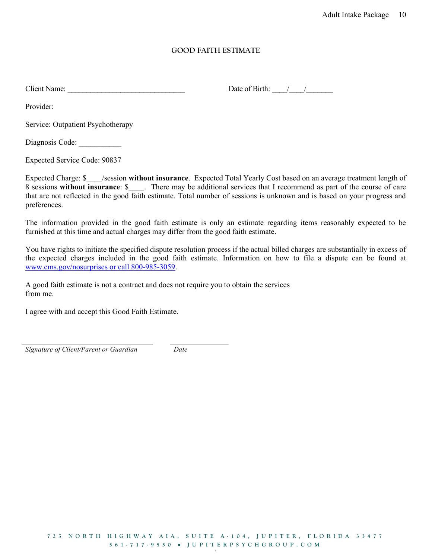### GOOD FAITH ESTIMATE

Client Name:  $\Box$  Date of Birth:  $\Box$ 

Provider:

Service: Outpatient Psychotherapy

Diagnosis Code:

Expected Service Code: 90837

Expected Charge: \$ /session without insurance. Expected Total Yearly Cost based on an average treatment length of 8 sessions without insurance: \$ There may be additional services that I recommend as part of the course of care that are not reflected in the good faith estimate. Total number of sessions is unknown and is based on your progress and preferences.

The information provided in the good faith estimate is only an estimate regarding items reasonably expected to be furnished at this time and actual charges may differ from the good faith estimate.

You have rights to initiate the specified dispute resolution process if the actual billed charges are substantially in excess of the expected charges included in the good faith estimate. Information on how to file a dispute can be found at www.cms.gov/nosurprises or call 800-985-3059.

A good faith estimate is not a contract and does not require you to obtain the services from me.

I agree with and accept this Good Faith Estimate.

Signature of Client/Parent or Guardian Date